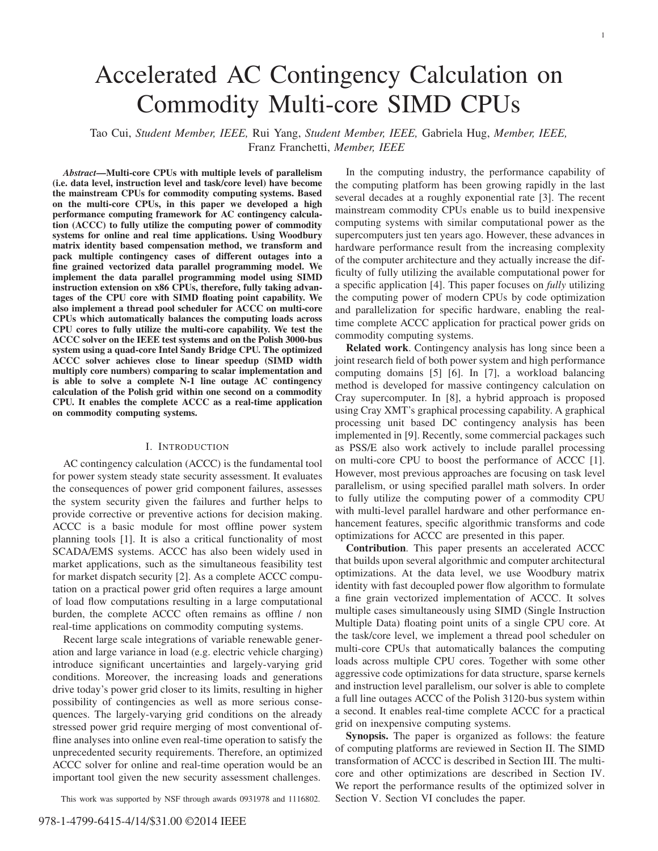# Accelerated AC Contingency Calculation on Commodity Multi-core SIMD CPUs

Tao Cui, *Student Member, IEEE,* Rui Yang, *Student Member, IEEE,* Gabriela Hug, *Member, IEEE,* Franz Franchetti, *Member, IEEE*

*Abstract***—Multi-core CPUs with multiple levels of parallelism (i.e. data level, instruction level and task/core level) have become the mainstream CPUs for commodity computing systems. Based on the multi-core CPUs, in this paper we developed a high performance computing framework for AC contingency calculation (ACCC) to fully utilize the computing power of commodity systems for online and real time applications. Using Woodbury matrix identity based compensation method, we transform and pack multiple contingency cases of different outages into a fine grained vectorized data parallel programming model. We implement the data parallel programming model using SIMD instruction extension on x86 CPUs, therefore, fully taking advantages of the CPU core with SIMD floating point capability. We also implement a thread pool scheduler for ACCC on multi-core CPUs which automatically balances the computing loads across CPU cores to fully utilize the multi-core capability. We test the ACCC solver on the IEEE test systems and on the Polish 3000-bus system using a quad-core Intel Sandy Bridge CPU. The optimized ACCC solver achieves close to linear speedup (SIMD width multiply core numbers) comparing to scalar implementation and is able to solve a complete N-1 line outage AC contingency calculation of the Polish grid within one second on a commodity CPU. It enables the complete ACCC as a real-time application on commodity computing systems.**

#### I. INTRODUCTION

AC contingency calculation (ACCC) is the fundamental tool for power system steady state security assessment. It evaluates the consequences of power grid component failures, assesses the system security given the failures and further helps to provide corrective or preventive actions for decision making. ACCC is a basic module for most offline power system planning tools [1]. It is also a critical functionality of most SCADA/EMS systems. ACCC has also been widely used in market applications, such as the simultaneous feasibility test for market dispatch security [2]. As a complete ACCC computation on a practical power grid often requires a large amount of load flow computations resulting in a large computational burden, the complete ACCC often remains as offline / non real-time applications on commodity computing systems.

Recent large scale integrations of variable renewable generation and large variance in load (e.g. electric vehicle charging) introduce significant uncertainties and largely-varying grid conditions. Moreover, the increasing loads and generations drive today's power grid closer to its limits, resulting in higher possibility of contingencies as well as more serious consequences. The largely-varying grid conditions on the already stressed power grid require merging of most conventional offline analyses into online even real-time operation to satisfy the unprecedented security requirements. Therefore, an optimized ACCC solver for online and real-time operation would be an important tool given the new security assessment challenges.

This work was supported by NSF through awards 0931978 and 1116802.

In the computing industry, the performance capability of the computing platform has been growing rapidly in the last several decades at a roughly exponential rate [3]. The recent mainstream commodity CPUs enable us to build inexpensive computing systems with similar computational power as the supercomputers just ten years ago. However, these advances in hardware performance result from the increasing complexity of the computer architecture and they actually increase the difficulty of fully utilizing the available computational power for a specific application [4]. This paper focuses on *fully* utilizing the computing power of modern CPUs by code optimization and parallelization for specific hardware, enabling the realtime complete ACCC application for practical power grids on commodity computing systems.

**Related work**. Contingency analysis has long since been a joint research field of both power system and high performance computing domains [5] [6]. In [7], a workload balancing method is developed for massive contingency calculation on Cray supercomputer. In [8], a hybrid approach is proposed using Cray XMT's graphical processing capability. A graphical processing unit based DC contingency analysis has been implemented in [9]. Recently, some commercial packages such as PSS/E also work actively to include parallel processing on multi-core CPU to boost the performance of ACCC [1]. However, most previous approaches are focusing on task level parallelism, or using specified parallel math solvers. In order to fully utilize the computing power of a commodity CPU with multi-level parallel hardware and other performance enhancement features, specific algorithmic transforms and code optimizations for ACCC are presented in this paper.

**Contribution**. This paper presents an accelerated ACCC that builds upon several algorithmic and computer architectural optimizations. At the data level, we use Woodbury matrix identity with fast decoupled power flow algorithm to formulate a fine grain vectorized implementation of ACCC. It solves multiple cases simultaneously using SIMD (Single Instruction Multiple Data) floating point units of a single CPU core. At the task/core level, we implement a thread pool scheduler on multi-core CPUs that automatically balances the computing loads across multiple CPU cores. Together with some other aggressive code optimizations for data structure, sparse kernels and instruction level parallelism, our solver is able to complete a full line outages ACCC of the Polish 3120-bus system within a second. It enables real-time complete ACCC for a practical grid on inexpensive computing systems.

**Synopsis.** The paper is organized as follows: the feature of computing platforms are reviewed in Section II. The SIMD transformation of ACCC is described in Section III. The multicore and other optimizations are described in Section IV. We report the performance results of the optimized solver in Section V. Section VI concludes the paper.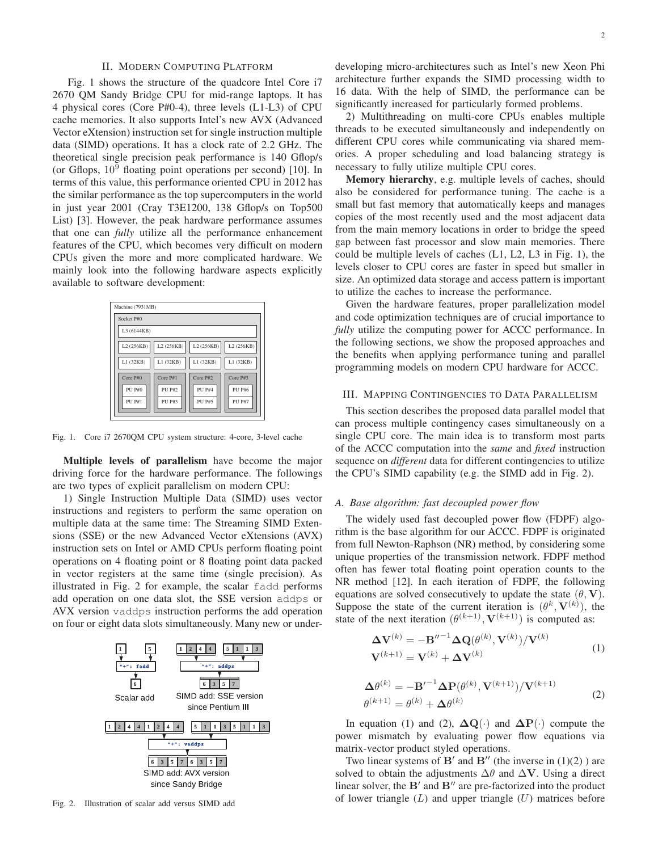# II. MODERN COMPUTING PLATFORM

Fig. 1 shows the structure of the quadcore Intel Core i7 2670 QM Sandy Bridge CPU for mid-range laptops. It has 4 physical cores (Core P#0-4), three levels (L1-L3) of CPU cache memories. It also supports Intel's new AVX (Advanced Vector eXtension) instruction set for single instruction multiple data (SIMD) operations. It has a clock rate of 2.2 GHz. The theoretical single precision peak performance is 140 Gflop/s (or Gflops,  $10<sup>9</sup>$  floating point operations per second) [10]. In terms of this value, this performance oriented CPU in 2012 has the similar performance as the top supercomputers in the world in just year 2001 (Cray T3E1200, 138 Gflop/s on Top500 List) [3]. However, the peak hardware performance assumes that one can *fully* utilize all the performance enhancement features of the CPU, which becomes very difficult on modern CPUs given the more and more complicated hardware. We mainly look into the following hardware aspects explicitly available to software development:

| Machine (7931MB)            |                                            |                                     |                                           |
|-----------------------------|--------------------------------------------|-------------------------------------|-------------------------------------------|
| Socket P#0                  |                                            |                                     |                                           |
| L3 (6144KB)                 |                                            |                                     |                                           |
| L2 (256KB)                  | L2 (256KB)                                 | L2 (256KB)                          | L2 (256KB)                                |
| L1 (32KB)                   | L1 (32KB)                                  | L1 (32KB)                           | L1 (32KB)                                 |
| CoreP#0<br>PU P#0<br>PU P#1 | Core P#1<br><b>PU P#2</b><br><b>PU P#3</b> | Core P#2<br>PU P#4<br><b>PU P#5</b> | CoreP#3<br><b>PU P#6</b><br><b>PU P#7</b> |

Fig. 1. Core i7 2670QM CPU system structure: 4-core, 3-level cache

**Multiple levels of parallelism** have become the major driving force for the hardware performance. The followings are two types of explicit parallelism on modern CPU:

1) Single Instruction Multiple Data (SIMD) uses vector instructions and registers to perform the same operation on multiple data at the same time: The Streaming SIMD Extensions (SSE) or the new Advanced Vector eXtensions (AVX) instruction sets on Intel or AMD CPUs perform floating point operations on 4 floating point or 8 floating point data packed in vector registers at the same time (single precision). As illustrated in Fig. 2 for example, the scalar fadd performs add operation on one data slot, the SSE version addps or AVX version vaddps instruction performs the add operation on four or eight data slots simultaneously. Many new or under-



Fig. 2. Illustration of scalar add versus SIMD add

developing micro-architectures such as Intel's new Xeon Phi architecture further expands the SIMD processing width to 16 data. With the help of SIMD, the performance can be significantly increased for particularly formed problems.

2) Multithreading on multi-core CPUs enables multiple threads to be executed simultaneously and independently on different CPU cores while communicating via shared memories. A proper scheduling and load balancing strategy is necessary to fully utilize multiple CPU cores.

**Memory hierarchy**, e.g. multiple levels of caches, should also be considered for performance tuning. The cache is a small but fast memory that automatically keeps and manages copies of the most recently used and the most adjacent data from the main memory locations in order to bridge the speed gap between fast processor and slow main memories. There could be multiple levels of caches (L1, L2, L3 in Fig. 1), the levels closer to CPU cores are faster in speed but smaller in size. An optimized data storage and access pattern is important to utilize the caches to increase the performance.

Given the hardware features, proper parallelization model and code optimization techniques are of crucial importance to *fully* utilize the computing power for ACCC performance. In the following sections, we show the proposed approaches and the benefits when applying performance tuning and parallel programming models on modern CPU hardware for ACCC.

## III. MAPPING CONTINGENCIES TO DATA PARALLELISM

This section describes the proposed data parallel model that can process multiple contingency cases simultaneously on a single CPU core. The main idea is to transform most parts of the ACCC computation into the *same* and *fixed* instruction sequence on *different* data for different contingencies to utilize the CPU's SIMD capability (e.g. the SIMD add in Fig. 2).

#### *A. Base algorithm: fast decoupled power flow*

The widely used fast decoupled power flow (FDPF) algorithm is the base algorithm for our ACCC. FDPF is originated from full Newton-Raphson (NR) method, by considering some unique properties of the transmission network. FDPF method often has fewer total floating point operation counts to the NR method [12]. In each iteration of FDPF, the following equations are solved consecutively to update the state  $(\theta, \mathbf{V})$ . Suppose the state of the current iteration is  $(\theta^k, \mathbf{V}^{(k)})$ , the state of the next iteration  $(\theta^{(k+1)}, \mathbf{V}^{(k+1)})$  is computed as:

$$
\begin{aligned} \n\boldsymbol{\Delta} \mathbf{V}^{(k)} &= -\mathbf{B}''^{-1} \boldsymbol{\Delta} \mathbf{Q}(\theta^{(k)}, \mathbf{V}^{(k)}) / \mathbf{V}^{(k)} \\ \n\mathbf{V}^{(k+1)} &= \mathbf{V}^{(k)} + \boldsymbol{\Delta} \mathbf{V}^{(k)} \n\end{aligned} \tag{1}
$$

$$
\Delta \theta^{(k)} = -\mathbf{B}'^{-1} \Delta \mathbf{P}(\theta^{(k)}, \mathbf{V}^{(k+1)}) / \mathbf{V}^{(k+1)}
$$
  

$$
\theta^{(k+1)} = \theta^{(k)} + \Delta \theta^{(k)}
$$
 (2)

In equation (1) and (2),  $\Delta \mathbf{Q}(\cdot)$  and  $\Delta \mathbf{P}(\cdot)$  compute the power mismatch by evaluating power flow equations via matrix-vector product styled operations.

Two linear systems of  $\mathbf{B}'$  and  $\mathbf{B}''$  (the inverse in (1)(2)) are solved to obtain the adjustments  $\Delta\theta$  and  $\Delta V$ . Using a direct linear solver, the  $\mathbf{B}'$  and  $\mathbf{B}''$  are pre-factorized into the product of lower triangle  $(L)$  and upper triangle  $(U)$  matrices before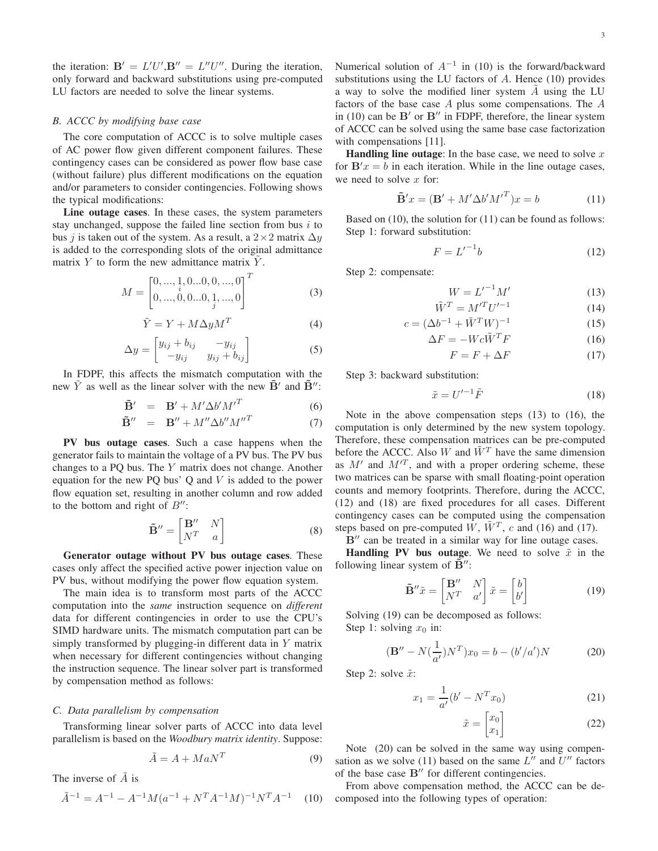the iteration:  $B' = L'U', B'' = L''U''$ . During the iteration, only forward and backward substitutions using pre-computed LU factors are needed to solve the linear systems.

#### *B. ACCC by modifying base case*

The core computation of ACCC is to solve multiple cases of AC power flow given different component failures. These contingency cases can be considered as power flow base case (without failure) plus different modifications on the equation and/or parameters to consider contingencies. Following shows the typical modifications:

**Line outage cases**. In these cases, the system parameters stay unchanged, suppose the failed line section from bus  $i$  to bus j is taken out of the system. As a result, a  $2 \times 2$  matrix  $\Delta y$ is added to the corresponding slots of the original admittance matrix Y to form the new admittance matrix  $\tilde{Y}$ .

$$
M = \begin{bmatrix} 0, \dots, \frac{1}{i}, 0 \dots 0, 0, \dots, 0 \\ 0, \dots, 0, 0 \dots 0, \frac{1}{j}, \dots, 0 \end{bmatrix}^T
$$
 (3)

$$
\tilde{Y} = Y + M\Delta y M^T \tag{4}
$$

$$
\Delta y = \begin{bmatrix} y_{ij} + b_{ij} & -y_{ij} \\ -y_{ij} & y_{ij} + b_{ij} \end{bmatrix}
$$
 (5)

In FDPF, this affects the mismatch computation with the new  $\tilde{Y}$  as well as the linear solver with the new  $\tilde{B}'$  and  $\tilde{B}''$ :

$$
\tilde{\mathbf{B}}' = \mathbf{B}' + M' \Delta b' M'^T \tag{6}
$$

$$
\tilde{\mathbf{B}}^{"} = \mathbf{B}^{"} + M'' \Delta b'' M''^{T} \tag{7}
$$

**PV bus outage cases**. Such a case happens when the generator fails to maintain the voltage of a PV bus. The PV bus changes to a PQ bus. The Y matrix does not change. Another equation for the new PQ bus'  $Q$  and  $V$  is added to the power flow equation set, resulting in another column and row added to the bottom and right of  $B''$ :

$$
\tilde{\mathbf{B}}'' = \begin{bmatrix} \mathbf{B}'' & N \\ N^T & a \end{bmatrix}
$$
 (8)

**Generator outage without PV bus outage cases**. These cases only affect the specified active power injection value on PV bus, without modifying the power flow equation system.

The main idea is to transform most parts of the ACCC computation into the *same* instruction sequence on *different* data for different contingencies in order to use the CPU's SIMD hardware units. The mismatch computation part can be simply transformed by plugging-in different data in Y matrix when necessary for different contingencies without changing the instruction sequence. The linear solver part is transformed by compensation method as follows:

#### *C. Data parallelism by compensation*

Transforming linear solver parts of ACCC into data level parallelism is based on the *Woodbury matrix identity*. Suppose:

$$
\tilde{A} = A + MaN^T \tag{9}
$$

The inverse of  $\tilde{A}$  is

$$
\tilde{A}^{-1} = A^{-1} - A^{-1}M(a^{-1} + N^T A^{-1}M)^{-1} N^T A^{-1}
$$
 (10)

Numerical solution of  $A^{-1}$  in (10) is the forward/backward substitutions using the LU factors of A. Hence (10) provides a way to solve the modified liner system  $\tilde{A}$  using the LU factors of the base case  $A$  plus some compensations. The  $A$ in (10) can be  $B'$  or  $B''$  in FDPF, therefore, the linear system of ACCC can be solved using the same base case factorization with compensations [11].

**Handling line outage:** In the base case, we need to solve x for  $B/x = b$  in each iteration. While in the line outage cases, we need to solve  $x$  for:

$$
\tilde{\mathbf{B}}'x = (\mathbf{B}' + M'\Delta b'M'^T)x = b \tag{11}
$$

Based on (10), the solution for (11) can be found as follows: Step 1: forward substitution:

$$
F = L'^{-1}b\tag{12}
$$

Step 2: compensate:

$$
W = L'^{-1}M'
$$
 (13)

$$
\tilde{W}^T = M^{\prime T} U^{\prime -1} \tag{14}
$$

$$
c = (\Delta b^{-1} + \tilde{W}^T W)^{-1}
$$
 (15)

$$
\Delta F = -Wc\tilde{W}^T F \tag{16}
$$

$$
F = F + \Delta F \tag{17}
$$

Step 3: backward substitution:

$$
\tilde{x} = U'^{-1}\tilde{F} \tag{18}
$$

Note in the above compensation steps (13) to (16), the computation is only determined by the new system topology. Therefore, these compensation matrices can be pre-computed before the ACCC. Also W and  $\tilde{W}^T$  have the same dimension as  $M'$  and  $M'^T$ , and with a proper ordering scheme, these two matrices can be sparse with small floating-point operation counts and memory footprints. Therefore, during the ACCC, (12) and (18) are fixed procedures for all cases. Different contingency cases can be computed using the compensation steps based on pre-computed  $\hat{W}$ ,  $\tilde{W}^T$ , c and (16) and (17).

B" can be treated in a similar way for line outage cases.

**Handling PV bus outage.** We need to solve  $\tilde{x}$  in the following linear system of  $\tilde{\mathbf{B}}$ ":

$$
\tilde{\mathbf{B}}''\tilde{x} = \begin{bmatrix} \mathbf{B}'' & N \\ N^T & a' \end{bmatrix} \tilde{x} = \begin{bmatrix} b \\ b' \end{bmatrix}
$$
 (19)

Solving (19) can be decomposed as follows: Step 1: solving  $x_0$  in:

$$
(\mathbf{B}'' - N(\frac{1}{a'})N^T)x_0 = b - (b'/a')N \tag{20}
$$

Step 2: solve  $\tilde{x}$ :

$$
x_1 = \frac{1}{a'} (b' - N^T x_0)
$$
 (21)

$$
\tilde{x} = \begin{bmatrix} x_0 \\ x_1 \end{bmatrix} \tag{22}
$$

Note (20) can be solved in the same way using compensation as we solve (11) based on the same  $L''$  and  $\tilde{U}''$  factors of the base case  $B''$  for different contingencies.

From above compensation method, the ACCC can be decomposed into the following types of operation: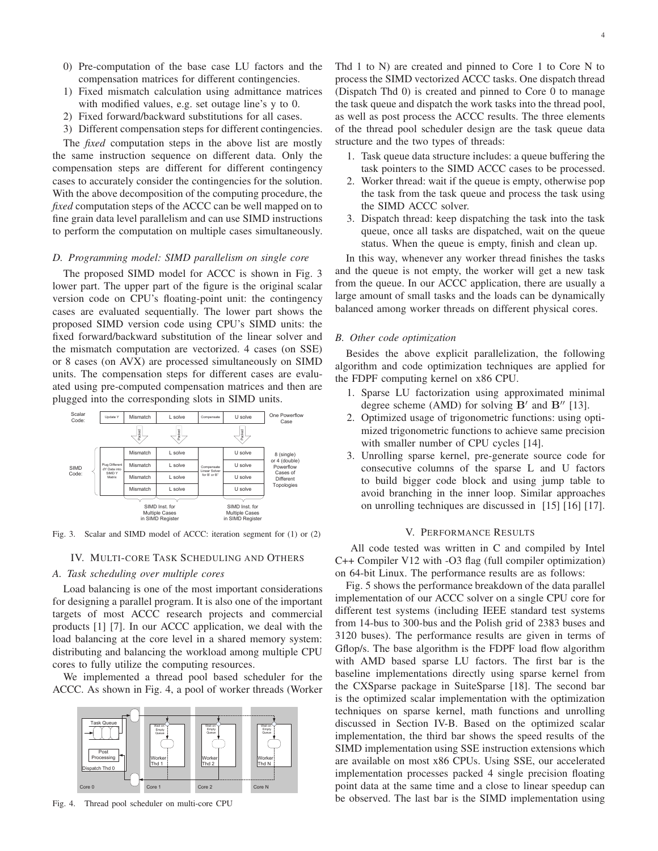- 0) Pre-computation of the base case LU factors and the compensation matrices for different contingencies.
- 1) Fixed mismatch calculation using admittance matrices with modified values, e.g. set outage line's y to 0.
- 2) Fixed forward/backward substitutions for all cases.
- 3) Different compensation steps for different contingencies.

The *fixed* computation steps in the above list are mostly the same instruction sequence on different data. Only the compensation steps are different for different contingency cases to accurately consider the contingencies for the solution. With the above decomposition of the computing procedure, the *fixed* computation steps of the ACCC can be well mapped on to fine grain data level parallelism and can use SIMD instructions to perform the computation on multiple cases simultaneously.

#### *D. Programming model: SIMD parallelism on single core*

The proposed SIMD model for ACCC is shown in Fig. 3 lower part. The upper part of the figure is the original scalar version code on CPU's floating-point unit: the contingency cases are evaluated sequentially. The lower part shows the proposed SIMD version code using CPU's SIMD units: the fixed forward/backward substitution of the linear solver and the mismatch computation are vectorized. 4 cases (on SSE) or 8 cases (on AVX) are processed simultaneously on SIMD units. The compensation steps for different cases are evaluated using pre-computed compensation matrices and then are plugged into the corresponding slots in SIMD units.



Fig. 3. Scalar and SIMD model of ACCC: iteration segment for (1) or (2)

#### IV. MULTI-CORE TASK SCHEDULING AND OTHERS

## *A. Task scheduling over multiple cores*

Load balancing is one of the most important considerations for designing a parallel program. It is also one of the important targets of most ACCC research projects and commercial products [1] [7]. In our ACCC application, we deal with the load balancing at the core level in a shared memory system: distributing and balancing the workload among multiple CPU cores to fully utilize the computing resources.

We implemented a thread pool based scheduler for the ACCC. As shown in Fig. 4, a pool of worker threads (Worker



Fig. 4. Thread pool scheduler on multi-core CPU

Thd 1 to N) are created and pinned to Core 1 to Core N to process the SIMD vectorized ACCC tasks. One dispatch thread (Dispatch Thd 0) is created and pinned to Core 0 to manage the task queue and dispatch the work tasks into the thread pool, as well as post process the ACCC results. The three elements of the thread pool scheduler design are the task queue data structure and the two types of threads:

- 1. Task queue data structure includes: a queue buffering the task pointers to the SIMD ACCC cases to be processed.
- 2. Worker thread: wait if the queue is empty, otherwise pop the task from the task queue and process the task using the SIMD ACCC solver.
- 3. Dispatch thread: keep dispatching the task into the task queue, once all tasks are dispatched, wait on the queue status. When the queue is empty, finish and clean up.

In this way, whenever any worker thread finishes the tasks and the queue is not empty, the worker will get a new task from the queue. In our ACCC application, there are usually a large amount of small tasks and the loads can be dynamically balanced among worker threads on different physical cores.

## *B. Other code optimization*

Besides the above explicit parallelization, the following algorithm and code optimization techniques are applied for the FDPF computing kernel on x86 CPU.

- 1. Sparse LU factorization using approximated minimal degree scheme (AMD) for solving  $\overrightarrow{B}'$  and  $\overrightarrow{B}''$  [13].
- 2. Optimized usage of trigonometric functions: using optimized trigonometric functions to achieve same precision with smaller number of CPU cycles [14].
- 3. Unrolling sparse kernel, pre-generate source code for consecutive columns of the sparse L and U factors to build bigger code block and using jump table to avoid branching in the inner loop. Similar approaches on unrolling techniques are discussed in [15] [16] [17].

## V. PERFORMANCE RESULTS

All code tested was written in C and compiled by Intel C++ Compiler V12 with -O3 flag (full compiler optimization) on 64-bit Linux. The performance results are as follows:

Fig. 5 shows the performance breakdown of the data parallel implementation of our ACCC solver on a single CPU core for different test systems (including IEEE standard test systems from 14-bus to 300-bus and the Polish grid of 2383 buses and 3120 buses). The performance results are given in terms of Gflop/s. The base algorithm is the FDPF load flow algorithm with AMD based sparse LU factors. The first bar is the baseline implementations directly using sparse kernel from the CXSparse package in SuiteSparse [18]. The second bar is the optimized scalar implementation with the optimization techniques on sparse kernel, math functions and unrolling discussed in Section IV-B. Based on the optimized scalar implementation, the third bar shows the speed results of the SIMD implementation using SSE instruction extensions which are available on most x86 CPUs. Using SSE, our accelerated implementation processes packed 4 single precision floating point data at the same time and a close to linear speedup can be observed. The last bar is the SIMD implementation using